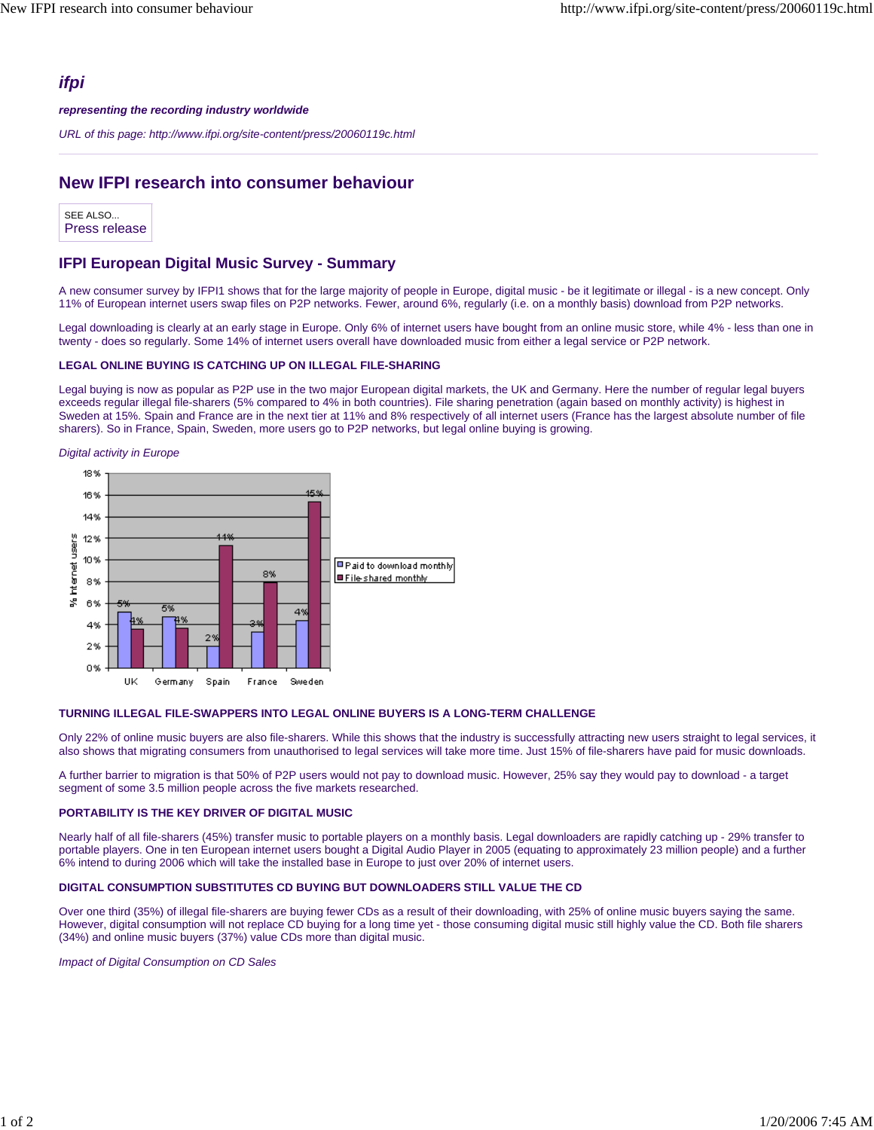## *ifpi*

#### *representing the recording industry worldwide*

*URL of this page: http://www.ifpi.org/site-content/press/20060119c.html*

# **New IFPI research into consumer behaviour**

SEE ALSO... Press release

### **IFPI European Digital Music Survey - Summary**

A new consumer survey by IFPI1 shows that for the large majority of people in Europe, digital music - be it legitimate or illegal - is a new concept. Only 11% of European internet users swap files on P2P networks. Fewer, around 6%, regularly (i.e. on a monthly basis) download from P2P networks.

Legal downloading is clearly at an early stage in Europe. Only 6% of internet users have bought from an online music store, while 4% - less than one in twenty - does so regularly. Some 14% of internet users overall have downloaded music from either a legal service or P2P network.

#### **LEGAL ONLINE BUYING IS CATCHING UP ON ILLEGAL FILE-SHARING**

Legal buying is now as popular as P2P use in the two major European digital markets, the UK and Germany. Here the number of regular legal buyers exceeds regular illegal file-sharers (5% compared to 4% in both countries). File sharing penetration (again based on monthly activity) is highest in Sweden at 15%. Spain and France are in the next tier at 11% and 8% respectively of all internet users (France has the largest absolute number of file sharers). So in France, Spain, Sweden, more users go to P2P networks, but legal online buying is growing.

*Digital activity in Europe*



#### **TURNING ILLEGAL FILE-SWAPPERS INTO LEGAL ONLINE BUYERS IS A LONG-TERM CHALLENGE**

Only 22% of online music buyers are also file-sharers. While this shows that the industry is successfully attracting new users straight to legal services, it also shows that migrating consumers from unauthorised to legal services will take more time. Just 15% of file-sharers have paid for music downloads.

A further barrier to migration is that 50% of P2P users would not pay to download music. However, 25% say they would pay to download - a target segment of some 3.5 million people across the five markets researched.

#### **PORTABILITY IS THE KEY DRIVER OF DIGITAL MUSIC**

Nearly half of all file-sharers (45%) transfer music to portable players on a monthly basis. Legal downloaders are rapidly catching up - 29% transfer to portable players. One in ten European internet users bought a Digital Audio Player in 2005 (equating to approximately 23 million people) and a further 6% intend to during 2006 which will take the installed base in Europe to just over 20% of internet users.

#### **DIGITAL CONSUMPTION SUBSTITUTES CD BUYING BUT DOWNLOADERS STILL VALUE THE CD**

Over one third (35%) of illegal file-sharers are buying fewer CDs as a result of their downloading, with 25% of online music buyers saying the same. However, digital consumption will not replace CD buying for a long time yet - those consuming digital music still highly value the CD. Both file sharers (34%) and online music buyers (37%) value CDs more than digital music.

*Impact of Digital Consumption on CD Sales*